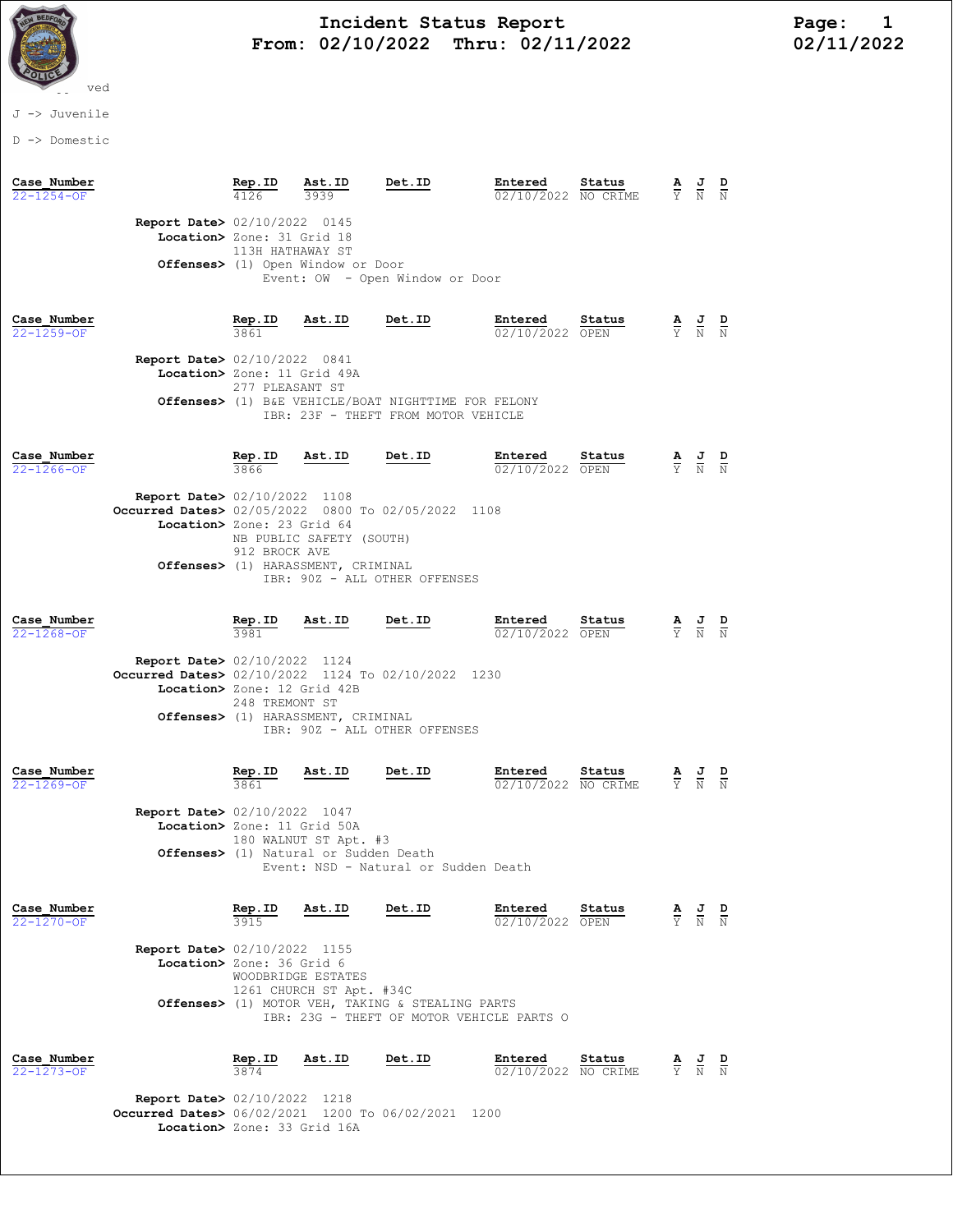

# Incident Status Report<br>02/10/2022 Thru: 02/11/2022 102/11/2022 From: 02/10/2022 Thru: 02/11/2022

### J -> Juvenile

D -> Domestic

| Case Number<br>$22 - 1254 - 0F$ |                                                                                                                             | Rep.ID                                   | Ast.ID<br>3939                                                           | Det.ID                                                                                                         | Entered<br>02/10/2022 NO CRIME                                          | Status | $\overline{Y}$                  | $\frac{J}{N}$                                                                                   |  |
|---------------------------------|-----------------------------------------------------------------------------------------------------------------------------|------------------------------------------|--------------------------------------------------------------------------|----------------------------------------------------------------------------------------------------------------|-------------------------------------------------------------------------|--------|---------------------------------|-------------------------------------------------------------------------------------------------|--|
|                                 | Report Date> 02/10/2022 0145<br>Location> Zone: 31 Grid 18                                                                  | 113H HATHAWAY ST                         | Offenses> (1) Open Window or Door                                        | Event: OW - Open Window or Door                                                                                |                                                                         |        |                                 |                                                                                                 |  |
| Case Number<br>22-1259-OF       | <b>Report Date&gt; 02/10/2022 0841</b><br>Location> Zone: 11 Grid 49A                                                       | <b>Rep.ID</b><br>3861<br>277 PLEASANT ST | Ast.ID                                                                   | Det.ID<br><b>Offenses&gt;</b> (1) B&E VEHICLE/BOAT NIGHTTIME FOR FELONY<br>IBR: 23F - THEFT FROM MOTOR VEHICLE | Entered<br>02/10/2022 OPEN                                              | Status | $\frac{\mathbf{A}}{\mathrm{Y}}$ | $\frac{1}{N}$                                                                                   |  |
| Case Number<br>$22 - 1266 - OF$ | <b>Report Date&gt; 02/10/2022 1108</b><br>Occurred Dates> 02/05/2022 0800 To 02/05/2022 1108<br>Location> Zone: 23 Grid 64  | Rep.ID<br>912 BROCK AVE                  | Ast.ID<br>NB PUBLIC SAFETY (SOUTH)<br>Offenses> (1) HARASSMENT, CRIMINAL | Det.ID<br>IBR: 90Z - ALL OTHER OFFENSES                                                                        | Entered<br>02/10/2022 OPEN                                              | Status |                                 | $\frac{\mathbf{A}}{\mathbf{Y}}$ $\frac{\mathbf{J}}{\mathbf{N}}$ $\frac{\mathbf{D}}{\mathbf{N}}$ |  |
| Case Number<br>$22 - 1268 - OF$ | <b>Report Date&gt; 02/10/2022 1124</b><br>Occurred Dates> 02/10/2022 1124 To 02/10/2022<br>Location> Zone: 12 Grid 42B      | Rep.ID<br>3981<br>248 TREMONT ST         | Ast.ID<br>Offenses> (1) HARASSMENT, CRIMINAL                             | Det.ID<br>IBR: 90Z - ALL OTHER OFFENSES                                                                        | Entered<br>02/10/2022 OPEN<br>1230                                      | Status |                                 | $\frac{\mathbf{A}}{\mathbf{Y}}$ $\frac{\mathbf{J}}{\mathbf{N}}$                                 |  |
| Case Number<br>$22 - 1269 - 0F$ | Report Date> 02/10/2022 1047<br>Location> Zone: 11 Grid 50A                                                                 | Rep.ID<br>3861                           | Ast.ID<br>180 WALNUT ST Apt. #3<br>Offenses> (1) Natural or Sudden Death | Det.ID<br>Event: NSD - Natural or Sudden Death                                                                 | Entered<br>02/10/2022 NO CRIME                                          | Status |                                 | $\frac{\mathbf{A}}{\mathbf{Y}}$ $\frac{\mathbf{J}}{\mathbf{N}}$ $\frac{\mathbf{D}}{\mathbf{N}}$ |  |
| Case Number<br>$22 - 1270 - OF$ | <b>Report Date&gt; 02/10/2022 1155</b><br>Location> Zone: 36 Grid 6                                                         | Rep.ID<br>3915                           | Ast.ID<br>WOODBRIDGE ESTATES<br>1261 CHURCH ST Apt. #34C                 | Det.ID<br>Offenses> (1) MOTOR VEH, TAKING & STEALING PARTS                                                     | Entered<br>02/10/2022 OPEN<br>IBR: 23G - THEFT OF MOTOR VEHICLE PARTS O | Status |                                 | $\frac{J}{N}$                                                                                   |  |
| Case Number<br>22-1273-OF       | <b>Report Date&gt; 02/10/2022 1218</b><br>Occurred Dates> 06/02/2021 1200 To 06/02/2021 1200<br>Location> Zone: 33 Grid 16A | Rep.ID                                   | Ast.ID                                                                   | Det.ID                                                                                                         | Entered<br>02/10/2022 NO CRIME                                          | Status |                                 | $\frac{\mathbf{A}}{\mathbf{Y}}$ $\frac{\mathbf{J}}{\mathbf{N}}$ $\frac{\mathbf{D}}{\mathbf{N}}$ |  |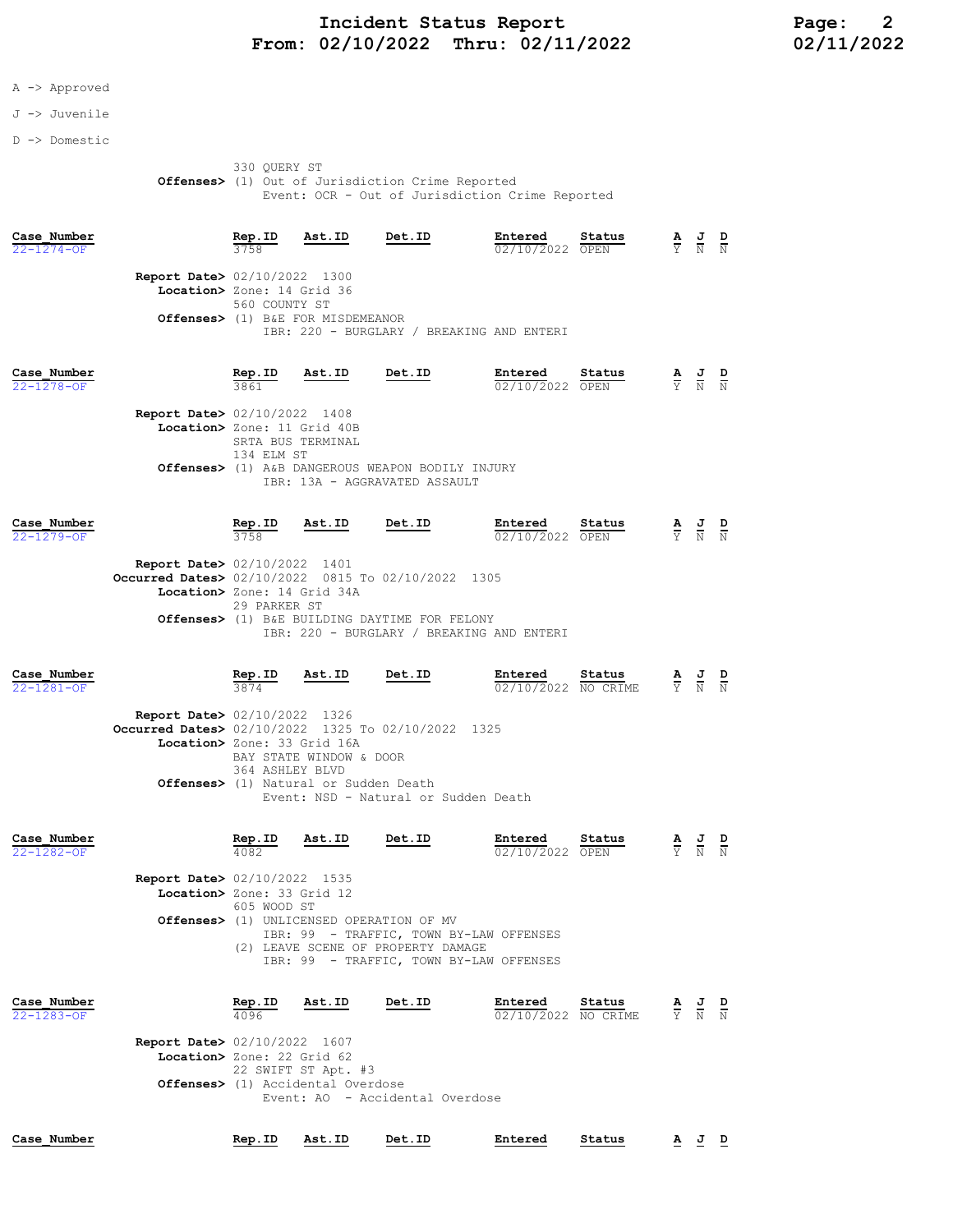## Incident Status Report<br>02/10/2022 Thru: 02/11/2022 12/11/2022 02/11/2022 From: 02/10/2022 Thru: 02/11/2022

## A -> Approved

### J -> Juvenile

D -> Domestic

 330 QUERY ST **Offenses>** (1) Out of Jurisdiction Crime Reported Event: OCR - Out of Jurisdiction Crime Reported

| Case Number<br>22-1274-OF       |                                                                                                                             | Rep.ID                                         | Ast.ID                                                                       | Det.ID                                                                                                                                                                         | Entered<br>02/10/2022 OPEN     | Status | A<br>Ÿ                          | $\frac{1}{N}$               | $\frac{D}{N}$ |
|---------------------------------|-----------------------------------------------------------------------------------------------------------------------------|------------------------------------------------|------------------------------------------------------------------------------|--------------------------------------------------------------------------------------------------------------------------------------------------------------------------------|--------------------------------|--------|---------------------------------|-----------------------------|---------------|
|                                 | <b>Report Date&gt; 02/10/2022 1300</b><br>Location> Zone: 14 Grid 36                                                        | 560 COUNTY ST                                  | Offenses> (1) B&E FOR MISDEMEANOR                                            | IBR: 220 - BURGLARY / BREAKING AND ENTERI                                                                                                                                      |                                |        |                                 |                             |               |
| Case Number<br>22-1278-OF       | <b>Report Date&gt;</b> 02/10/2022 1408<br>Location> Zone: 11 Grid 40B                                                       | Rep.ID<br>3861<br>134 ELM ST                   | Ast.ID<br>SRTA BUS TERMINAL                                                  | <b>Det.ID</b><br>Offenses> (1) A&B DANGEROUS WEAPON BODILY INJURY<br>IBR: 13A - AGGRAVATED ASSAULT                                                                             | Entered<br>02/10/2022 OPEN     | Status | $\frac{1}{\overline{Y}}$        | $\frac{J}{N}$               | $\frac{D}{N}$ |
| Case Number<br>22-1279-OF       | <b>Report Date&gt; 02/10/2022 1401</b><br>Occurred Dates> 02/10/2022 0815 To 02/10/2022 1305<br>Location> Zone: 14 Grid 34A | Rep.ID<br>3758<br>29 PARKER ST                 | Ast.ID                                                                       | Det.ID<br>Offenses> (1) B&E BUILDING DAYTIME FOR FELONY<br>IBR: 220 - BURGLARY / BREAKING AND ENTERI                                                                           | Entered<br>02/10/2022 OPEN     | Status | $\frac{\mathbf{A}}{\mathbf{Y}}$ |                             |               |
| Case Number<br>22-1281-OF       | <b>Report Date&gt; 02/10/2022 1326</b><br>Occurred Dates> 02/10/2022 1325 To 02/10/2022 1325<br>Location> Zone: 33 Grid 16A | $rac{\text{Rep. ID}}{3874}$<br>364 ASHLEY BLVD | Ast.ID<br>BAY STATE WINDOW & DOOR<br>Offenses> (1) Natural or Sudden Death   | Det.ID<br>Event: NSD - Natural or Sudden Death                                                                                                                                 | Entered<br>02/10/2022 NO CRIME | Status | $\frac{\mathbf{A}}{\mathbf{Y}}$ | $\frac{J}{N}$               | $\frac{D}{N}$ |
| Case Number<br>22-1282-OF       | <b>Report Date&gt; 02/10/2022 1535</b><br>Location> Zone: 33 Grid 12                                                        | Rep.ID<br>4082<br>605 WOOD ST                  | Ast.ID                                                                       | Det.ID<br>Offenses> (1) UNLICENSED OPERATION OF MV<br>IBR: 99 - TRAFFIC, TOWN BY-LAW OFFENSES<br>(2) LEAVE SCENE OF PROPERTY DAMAGE<br>IBR: 99 - TRAFFIC, TOWN BY-LAW OFFENSES | Entered<br>02/10/2022 OPEN     | Status | $\overline{\mathrm{Y}}$         |                             |               |
| Case Number<br>$22 - 1283 - OF$ | <b>Report Date&gt; 02/10/2022 1607</b><br>Location> Zone: 22 Grid 62                                                        | Rep.ID<br>4096                                 | Ast.ID<br>22 SWIFT ST Apt. #3<br><b>Offenses&gt;</b> (1) Accidental Overdose | Det.ID<br>Event: AO - Accidental Overdose                                                                                                                                      | Entered<br>02/10/2022 NO CRIME | Status | Y                               | $\frac{J}{N}$ $\frac{D}{N}$ |               |
| Case Number                     |                                                                                                                             | Rep.ID                                         | Ast.ID                                                                       | Det.ID                                                                                                                                                                         | Entered                        | Status |                                 | <u>A J D</u>                |               |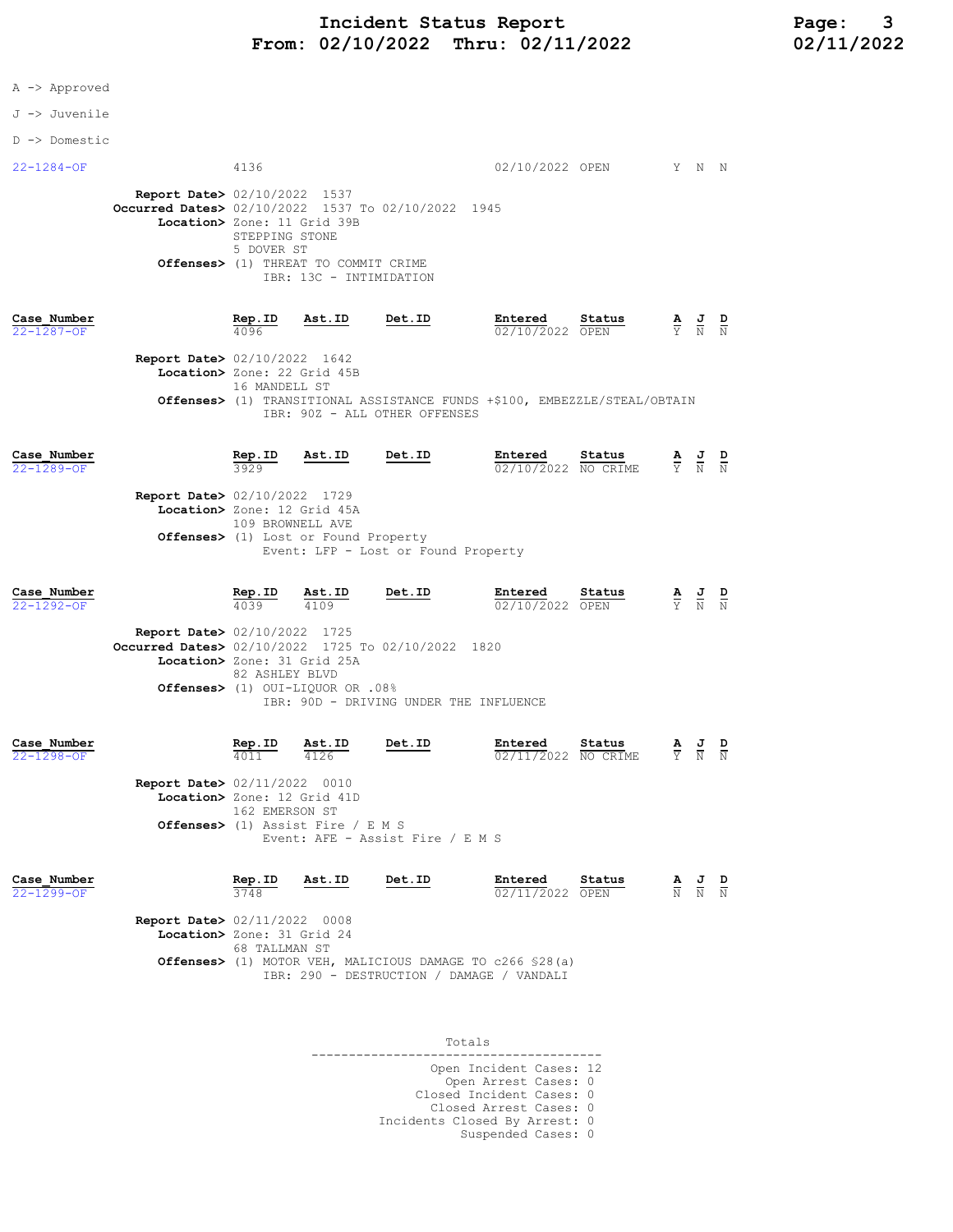|  |  | Approved |
|--|--|----------|
|--|--|----------|

### J -> Juvenile

D -> Domestic

| 4136                        |                |                                                                                                                                                                                                                                                                                                                                                                     |                                                                                                         |                                                                                                                                                                                  |                                                                      |                                                                                                                                                                                                                                                                                                                                                                                           |
|-----------------------------|----------------|---------------------------------------------------------------------------------------------------------------------------------------------------------------------------------------------------------------------------------------------------------------------------------------------------------------------------------------------------------------------|---------------------------------------------------------------------------------------------------------|----------------------------------------------------------------------------------------------------------------------------------------------------------------------------------|----------------------------------------------------------------------|-------------------------------------------------------------------------------------------------------------------------------------------------------------------------------------------------------------------------------------------------------------------------------------------------------------------------------------------------------------------------------------------|
|                             |                |                                                                                                                                                                                                                                                                                                                                                                     |                                                                                                         |                                                                                                                                                                                  |                                                                      |                                                                                                                                                                                                                                                                                                                                                                                           |
| $rac{\text{Rep. ID}}{4096}$ | <u>Ast.ID</u>  | Det.ID                                                                                                                                                                                                                                                                                                                                                              | Entered                                                                                                 | Status                                                                                                                                                                           |                                                                      |                                                                                                                                                                                                                                                                                                                                                                                           |
|                             |                |                                                                                                                                                                                                                                                                                                                                                                     |                                                                                                         |                                                                                                                                                                                  |                                                                      |                                                                                                                                                                                                                                                                                                                                                                                           |
|                             |                |                                                                                                                                                                                                                                                                                                                                                                     |                                                                                                         |                                                                                                                                                                                  |                                                                      |                                                                                                                                                                                                                                                                                                                                                                                           |
| $rac{\text{Rep. ID}}{3929}$ | <u>Ast.ID</u>  | Det.ID                                                                                                                                                                                                                                                                                                                                                              | Entered                                                                                                 | Status                                                                                                                                                                           |                                                                      |                                                                                                                                                                                                                                                                                                                                                                                           |
|                             |                |                                                                                                                                                                                                                                                                                                                                                                     |                                                                                                         |                                                                                                                                                                                  |                                                                      |                                                                                                                                                                                                                                                                                                                                                                                           |
|                             |                |                                                                                                                                                                                                                                                                                                                                                                     |                                                                                                         |                                                                                                                                                                                  |                                                                      |                                                                                                                                                                                                                                                                                                                                                                                           |
| Rep.ID<br>4039              | Ast.ID<br>4109 | Det.ID                                                                                                                                                                                                                                                                                                                                                              |                                                                                                         | Status                                                                                                                                                                           |                                                                      |                                                                                                                                                                                                                                                                                                                                                                                           |
|                             |                |                                                                                                                                                                                                                                                                                                                                                                     |                                                                                                         |                                                                                                                                                                                  |                                                                      |                                                                                                                                                                                                                                                                                                                                                                                           |
|                             |                |                                                                                                                                                                                                                                                                                                                                                                     |                                                                                                         |                                                                                                                                                                                  |                                                                      |                                                                                                                                                                                                                                                                                                                                                                                           |
|                             |                |                                                                                                                                                                                                                                                                                                                                                                     |                                                                                                         |                                                                                                                                                                                  |                                                                      |                                                                                                                                                                                                                                                                                                                                                                                           |
|                             |                | Report Date> 02/10/2022 1537<br>Location> Zone: 11 Grid 39B<br>STEPPING STONE<br>5 DOVER ST<br>Report Date> 02/10/2022 1642<br>Location> Zone: 22 Grid 45B<br>16 MANDELL ST<br><b>Report Date&gt; 02/10/2022 1729</b><br>Location> Zone: 12 Grid 45A<br>109 BROWNELL AVE<br><b>Report Date&gt; 02/10/2022 1725</b><br>Location> Zone: 31 Grid 25A<br>82 ASHLEY BLVD | Offenses> (1) THREAT TO COMMIT CRIME<br>IBR: 13C - INTIMIDATION<br>Offenses> (1) Lost or Found Property | Occurred Dates> 02/10/2022 1537 To 02/10/2022 1945<br>IBR: 90Z - ALL OTHER OFFENSES<br>Event: LFP - Lost or Found Property<br>Occurred Dates> 02/10/2022 1725 To 02/10/2022 1820 | 02/10/2022 OPEN<br>02/10/2022 NO CRIME<br>Entered<br>02/10/2022 OPEN | 02/10/2022 OPEN Y N N<br>$\frac{A}{Y}$ $\frac{J}{N}$ $\frac{D}{N}$<br>Offenses> (1) TRANSITIONAL ASSISTANCE FUNDS +\$100, EMBEZZLE/STEAL/OBTAIN<br>$\frac{\mathbf{A}}{\mathbf{Y}}$ $\frac{\mathbf{J}}{\mathbf{N}}$ $\frac{\mathbf{D}}{\mathbf{N}}$<br>$\frac{\mathbf{A}}{\mathbf{Y}}$ $\frac{\mathbf{J}}{\mathbf{N}}$ $\frac{\mathbf{D}}{\mathbf{N}}$<br>08%. Offenses> (1) OUI-LIQUOR OR |

| Case Number                            | Rep.ID         | Ast.ID                                      | Det.ID                           | Entered             | Status | <u>AJ</u> |       |  |
|----------------------------------------|----------------|---------------------------------------------|----------------------------------|---------------------|--------|-----------|-------|--|
| $22 - 1298 - OF$                       | 4011           | 4126                                        |                                  | 02/11/2022 NO CRIME |        |           | Y N N |  |
|                                        |                |                                             |                                  |                     |        |           |       |  |
| <b>Report Date&gt; 02/11/2022 0010</b> |                |                                             |                                  |                     |        |           |       |  |
| Location> Zone: 12 Grid 41D            |                |                                             |                                  |                     |        |           |       |  |
|                                        | 162 EMERSON ST |                                             |                                  |                     |        |           |       |  |
|                                        |                | <b>Offenses&gt;</b> (1) Assist Fire / E M S |                                  |                     |        |           |       |  |
|                                        |                |                                             | Event: AFE - Assist Fire / E M S |                     |        |           |       |  |

| Case Number<br>$22 - 1299 - 0F$        | Rep.ID<br>3748                              | Ast.ID | Det.ID | Entered<br>02/11/2022 OPEN | Status | <u>A J D</u><br>N N N |  |
|----------------------------------------|---------------------------------------------|--------|--------|----------------------------|--------|-----------------------|--|
| <b>Report Date&gt; 02/11/2022 0008</b> |                                             |        |        |                            |        |                       |  |
|                                        | Location> Zone: 31 Grid 24<br>68 TALLMAN ST |        |        |                            |        |                       |  |

 Offenses> (1) MOTOR VEH, MALICIOUS DAMAGE TO c266 §28(a) IBR: 290 - DESTRUCTION / DAMAGE / VANDALI

| Totals                                                  |  |
|---------------------------------------------------------|--|
| Open Incident Cases: 12<br>Open Arrest Cases: 0         |  |
| Closed Incident Cases: 0                                |  |
| Closed Arrest Cases: 0<br>Incidents Closed By Arrest: 0 |  |
| Suspended Cases: 0                                      |  |